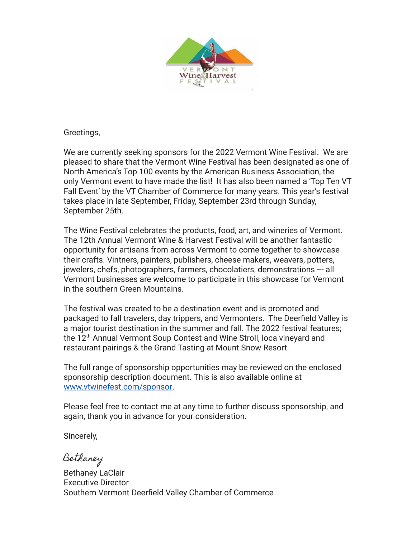

Greetings,

We are currently seeking sponsors for the 2022 Vermont Wine Festival. We are pleased to share that the Vermont Wine Festival has been designated as one of North America's Top 100 events by the American Business Association, the only Vermont event to have made the list! It has also been named a 'Top Ten VT Fall Event' by the VT Chamber of Commerce for many years. This year's festival takes place in late September, Friday, September 23rd through Sunday, September 25th.

The Wine Festival celebrates the products, food, art, and wineries of Vermont. The 12th Annual Vermont Wine & Harvest Festival will be another fantastic opportunity for artisans from across Vermont to come together to showcase their crafts. Vintners, painters, publishers, cheese makers, weavers, potters, jewelers, chefs, photographers, farmers, chocolatiers, demonstrations --- all Vermont businesses are welcome to participate in this showcase for Vermont in the southern Green Mountains.

The festival was created to be a destination event and is promoted and packaged to fall travelers, day trippers, and Vermonters. The Deerfield Valley is a major tourist destination in the summer and fall. The 2022 festival features; the 12<sup>th</sup> Annual Vermont Soup Contest and Wine Stroll, loca vineyard and restaurant pairings & the Grand Tasting at Mount Snow Resort.

The full range of sponsorship opportunities may be reviewed on the enclosed sponsorship description document. This is also available online at [www.vtwinefest.com/sponsor.](http://www.vtwinefest.com)

Please feel free to contact me at any time to further discuss sponsorship, and again, thank you in advance for your consideration.

Sincerely,

Bethaney

Bethaney LaClair Executive Director Southern Vermont Deerfield Valley Chamber of Commerce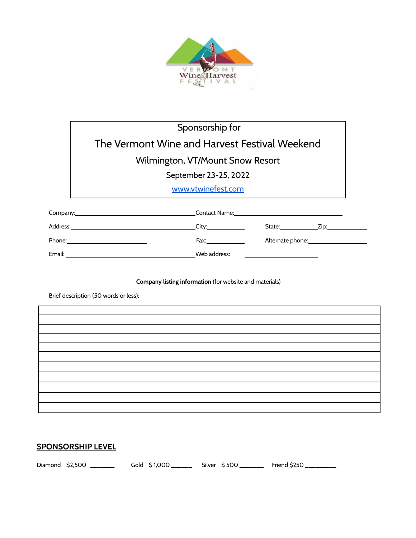

# Sponsorship for The Vermont Wine and Harvest Festival Weekend Wilmington, VT/Mount Snow Resort

September 23-25, 2022

[www.vtwinefest.com](http://www.vtwinefest.com)

|        | Contact Name:                                                                                                  | <u> 1989 - Andrea Andrew Maria (h. 1989).</u>                                                                                                                                                                                  |                  |
|--------|----------------------------------------------------------------------------------------------------------------|--------------------------------------------------------------------------------------------------------------------------------------------------------------------------------------------------------------------------------|------------------|
|        | City: <u>City: City:</u>                                                                                       | State: the state of the state of the state of the state of the state of the state of the state of the state of the state of the state of the state of the state of the state of the state of the state of the state of the sta | Zip:____________ |
| Phone: | Fax: where the contract of the contract of the contract of the contract of the contract of the contract of the |                                                                                                                                                                                                                                |                  |
| Email: | Web address:                                                                                                   |                                                                                                                                                                                                                                |                  |

#### **Company listing information** (for website and materials)

Brief description (50 words or less):

### **SPONSORSHIP LEVEL**

Diamond \$2,500 \_\_\_\_\_\_\_ Gold \$1,000 \_\_\_\_\_\_ Silver \$500 \_\_\_\_\_\_ Friend \$250 \_\_\_\_\_\_\_\_